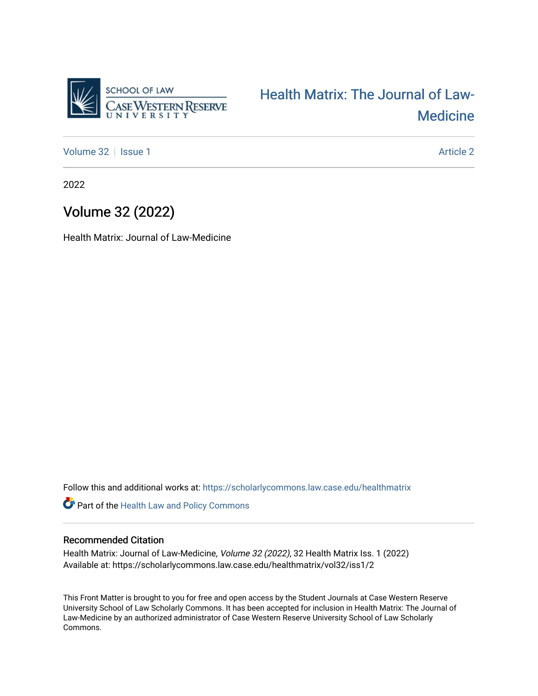

[Health Matrix: The Journal of Law-](https://scholarlycommons.law.case.edu/healthmatrix)[Medicine](https://scholarlycommons.law.case.edu/healthmatrix) 

[Volume 32](https://scholarlycommons.law.case.edu/healthmatrix/vol32) | [Issue 1](https://scholarlycommons.law.case.edu/healthmatrix/vol32/iss1) Article 2

2022

## Volume 32 (2022)

Health Matrix: Journal of Law-Medicine

Follow this and additional works at: [https://scholarlycommons.law.case.edu/healthmatrix](https://scholarlycommons.law.case.edu/healthmatrix?utm_source=scholarlycommons.law.case.edu%2Fhealthmatrix%2Fvol32%2Fiss1%2F2&utm_medium=PDF&utm_campaign=PDFCoverPages) 

Part of the [Health Law and Policy Commons](http://network.bepress.com/hgg/discipline/901?utm_source=scholarlycommons.law.case.edu%2Fhealthmatrix%2Fvol32%2Fiss1%2F2&utm_medium=PDF&utm_campaign=PDFCoverPages) 

#### Recommended Citation

Health Matrix: Journal of Law-Medicine, Volume 32 (2022), 32 Health Matrix Iss. 1 (2022) Available at: https://scholarlycommons.law.case.edu/healthmatrix/vol32/iss1/2

This Front Matter is brought to you for free and open access by the Student Journals at Case Western Reserve University School of Law Scholarly Commons. It has been accepted for inclusion in Health Matrix: The Journal of Law-Medicine by an authorized administrator of Case Western Reserve University School of Law Scholarly Commons.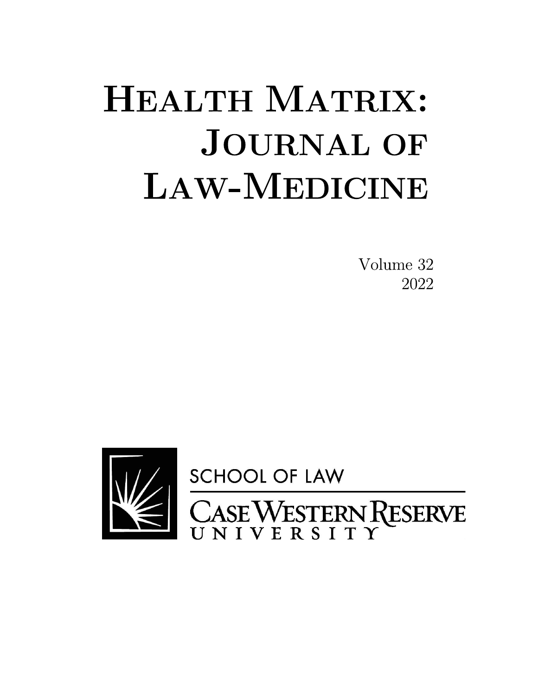# HEALTH MATRIX: **JOURNAL OF LAW-MEDICINE**

Volume 32 2022

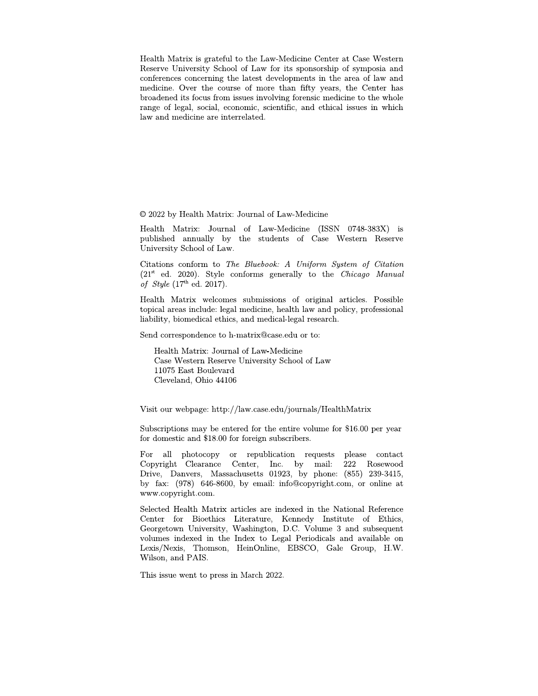Health Matrix is grateful to the Law-Medicine Center at Case Western Reserve University School of Law for its sponsorship of symposia and conferences concerning the latest developments in the area of law and medicine. Over the course of more than fifty years, the Center has broadened its focus from issues involving forensic medicine to the whole range of legal, social, economic, scientific, and ethical issues in which law and medicine are interrelated.

© 2022 by Health Matrix: Journal of Law-Medicine

Health Matrix: Journal of Law-Medicine (ISSN 0748-383X) is published annually by the students of Case Western Reserve University School of Law.

Citations conform to The Bluebook: A Uniform System of Citation  $(21<sup>st</sup>$  ed. 2020). Style conforms generally to the *Chicago Manual* of *Style* (17<sup>th</sup> ed. 2017).

Health Matrix welcomes submissions of original articles. Possible topical areas include: legal medicine, health law and policy, professional liability, biomedical ethics, and medical-legal research.

Send correspondence to h-matrix@case.edu or to:

Health Matrix: Journal of Law-Medicine Case Western Reserve University School of Law 11075 East Boulevard Cleveland, Ohio 44106

Visit our webpage: http://law.case.edu/journals/HealthMatrix

Subscriptions may be entered for the entire volume for \$16.00 per year for domestic and \$18.00 for foreign subscribers.

For all photocopy or republication requests please contact Copyright Clearance Center, Inc. by mail: 222 Rosewood Drive, Danvers, Massachusetts 01923, by phone: (855) 239-3415, by fax: (978) 646-8600, by email: info@copyright.com, or online at www.copyright.com.

Selected Health Matrix articles are indexed in the National Reference Center for Bioethics Literature, Kennedy Institute of Ethics, Georgetown University, Washington, D.C. Volume 3 and subsequent volumes indexed in the Index to Legal Periodicals and available on Lexis/Nexis, Thomson, HeinOnline, EBSCO, Gale Group, H.W. Wilson, and PAIS.

This issue went to press in March 2022.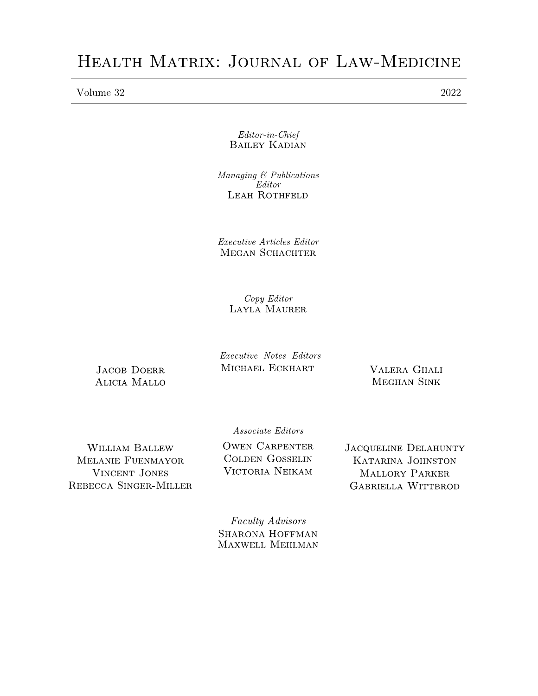Volume 32

 $Editor-in-Chief$ **BAILEY KADIAN** 

 $Managing \& Publications$  $\mathrm{E}$ ditor LEAH ROTHFELD

Executive Articles Editor MEGAN SCHACHTER

> Copy Editor **LAYLA MAURER**

**JACOB DOERR ALICIA MALLO**  Executive Notes Editors MICHAEL ECKHART

VALERA GHALI **MEGHAN SINK** 

Associate Editors

WILLIAM BALLEW MELANIE FUENMAYOR **VINCENT JONES** REBECCA SINGER-MILLER **OWEN CARPENTER COLDEN GOSSELIN** VICTORIA NEIKAM

**JACQUELINE DELAHUNTY KATARINA JOHNSTON** MALLORY PARKER **GABRIELLA WITTBROD** 

Faculty Advisors **SHARONA HOFFMAN MAXWELL MEHLMAN**  2022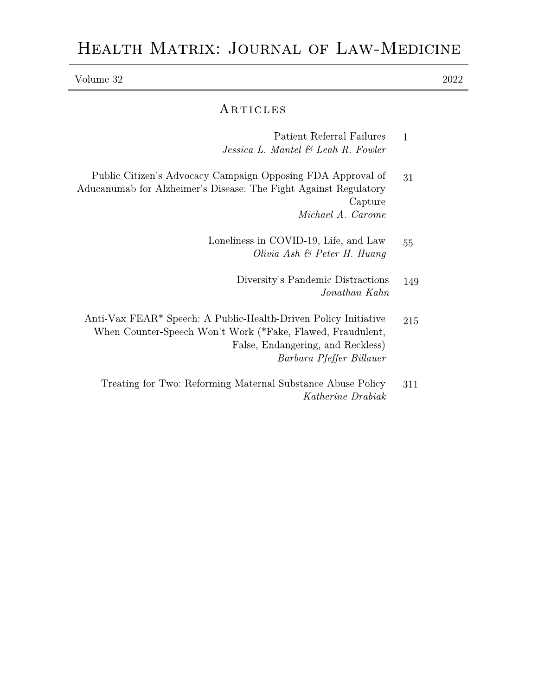## HEALTH MATRIX: JOURNAL OF LAW-MEDICINE

| Volume 32 |  |  |  |
|-----------|--|--|--|
|           |  |  |  |

## ARTICLES

| Patient Referral Failures          |  |  |  |  |
|------------------------------------|--|--|--|--|
| Jessica L. Mantel & Leah R. Fowler |  |  |  |  |

 $2022\,$ 

- Public Citizen's Advocacy Campaign Opposing FDA Approval of 31 Aducanumab for Alzheimer's Disease: The Fight Against Regulatory Capture Michael A. Carome
	- Loneliness in COVID-19, Life, and Law 55 Olivia Ash & Peter H. Huang
		- Diversity's Pandemic Distractions 149 Jonathan Kahn
	- Anti-Vax FEAR\* Speech: A Public-Health-Driven Policy Initiative 215 When Counter-Speech Won't Work (\*Fake, Flawed, Fraudulent, False, Endangering, and Reckless) Barbara Pfeffer Billauer
		- Treating for Two: Reforming Maternal Substance Abuse Policy 311 Katherine Drabiak